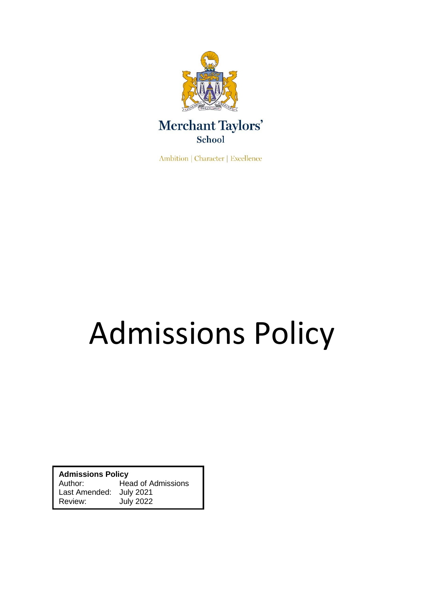

**Ambition | Character | Excellence** 

# Admissions Policy

**Admissions Policy** Author: Head of Admissions Last Amended: July 2021 Review: July 2022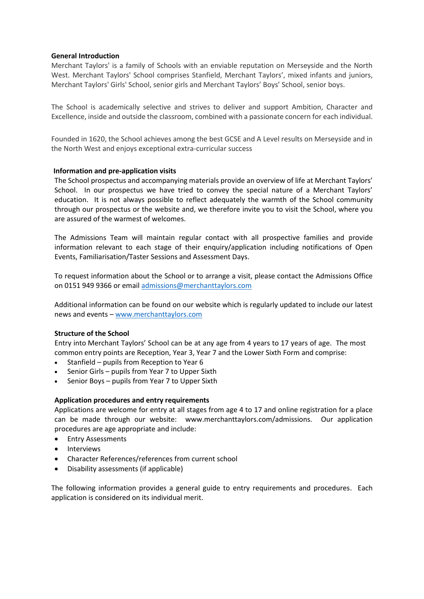# **General Introduction**

Merchant Taylors' is a family of Schools with an enviable reputation on Merseyside and the North West. Merchant Taylors' School comprises Stanfield, Merchant Taylors', mixed infants and juniors, Merchant Taylors' Girls' School, senior girls and Merchant Taylors' Boys' School, senior boys.

The School is academically selective and strives to deliver and support Ambition, Character and Excellence, inside and outside the classroom, combined with a passionate concern for each individual.

Founded in 1620, the School achieves among the best GCSE and A Level results on Merseyside and in the North West and enjoys exceptional extra-curricular success

## **Information and pre-application visits**

The School prospectus and accompanying materials provide an overview of life at Merchant Taylors' School. In our prospectus we have tried to convey the special nature of a Merchant Taylors' education. It is not always possible to reflect adequately the warmth of the School community through our prospectus or the website and, we therefore invite you to visit the School, where you are assured of the warmest of welcomes.

The Admissions Team will maintain regular contact with all prospective families and provide information relevant to each stage of their enquiry/application including notifications of Open Events, Familiarisation/Taster Sessions and Assessment Days.

To request information about the School or to arrange a visit, please contact the Admissions Office on 0151 949 9366 or emai[l admissions@merchanttaylors.com](mailto:admissions@merchanttaylors.com)

Additional information can be found on our website which is regularly updated to include our latest news and events – [www.merchanttaylors.com](http://www.merchanttaylors.com/)

# **Structure of the School**

Entry into Merchant Taylors' School can be at any age from 4 years to 17 years of age. The most common entry points are Reception, Year 3, Year 7 and the Lower Sixth Form and comprise:

- Stanfield pupils from Reception to Year 6
- Senior Girls pupils from Year 7 to Upper Sixth
- Senior Boys pupils from Year 7 to Upper Sixth

# **Application procedures and entry requirements**

Applications are welcome for entry at all stages from age 4 to 17 and online registration for a place can be made through our website: www.merchanttaylors.com/admissions. Our application procedures are age appropriate and include:

- Entry Assessments
- **Interviews**
- Character References/references from current school
- Disability assessments (if applicable)

The following information provides a general guide to entry requirements and procedures. Each application is considered on its individual merit.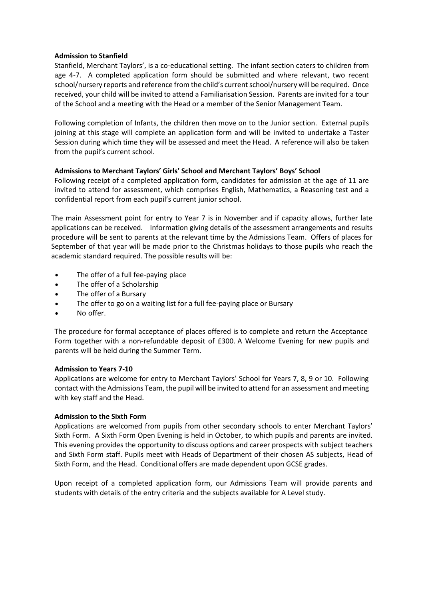# **Admission to Stanfield**

Stanfield, Merchant Taylors', is a co-educational setting. The infant section caters to children from age 4-7. A completed application form should be submitted and where relevant, two recent school/nursery reports and reference from the child's current school/nursery will be required. Once received, your child will be invited to attend a Familiarisation Session. Parents are invited for a tour of the School and a meeting with the Head or a member of the Senior Management Team.

Following completion of Infants, the children then move on to the Junior section. External pupils joining at this stage will complete an application form and will be invited to undertake a Taster Session during which time they will be assessed and meet the Head. A reference will also be taken from the pupil's current school.

# **Admissions to Merchant Taylors' Girls' School and Merchant Taylors' Boys' School**

Following receipt of a completed application form, candidates for admission at the age of 11 are invited to attend for assessment, which comprises English, Mathematics, a Reasoning test and a confidential report from each pupil's current junior school.

The main Assessment point for entry to Year 7 is in November and if capacity allows, further late applications can be received. Information giving details of the assessment arrangements and results procedure will be sent to parents at the relevant time by the Admissions Team. Offers of places for September of that year will be made prior to the Christmas holidays to those pupils who reach the academic standard required. The possible results will be:

- The offer of a full fee-paying place
- The offer of a Scholarship
- The offer of a Bursary
- The offer to go on a waiting list for a full fee-paying place or Bursary
- No offer.

The procedure for formal acceptance of places offered is to complete and return the Acceptance Form together with a non-refundable deposit of £300. A Welcome Evening for new pupils and parents will be held during the Summer Term.

# **Admission to Years 7-10**

Applications are welcome for entry to Merchant Taylors' School for Years 7, 8, 9 or 10. Following contact with the Admissions Team, the pupil will be invited to attend for an assessment and meeting with key staff and the Head.

# **Admission to the Sixth Form**

Applications are welcomed from pupils from other secondary schools to enter Merchant Taylors' Sixth Form. A Sixth Form Open Evening is held in October, to which pupils and parents are invited. This evening provides the opportunity to discuss options and career prospects with subject teachers and Sixth Form staff. Pupils meet with Heads of Department of their chosen AS subjects, Head of Sixth Form, and the Head. Conditional offers are made dependent upon GCSE grades.

Upon receipt of a completed application form, our Admissions Team will provide parents and students with details of the entry criteria and the subjects available for A Level study.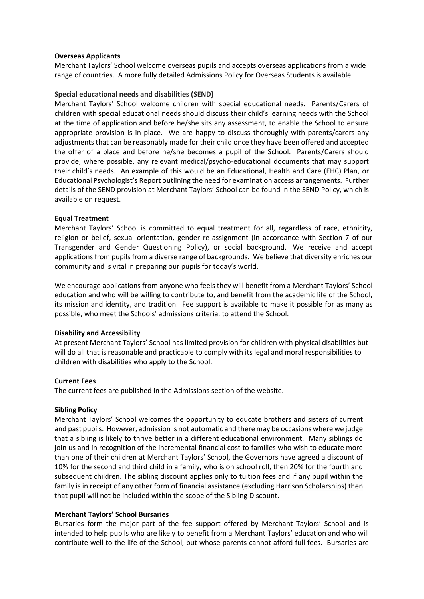# **Overseas Applicants**

Merchant Taylors' School welcome overseas pupils and accepts overseas applications from a wide range of countries. A more fully detailed Admissions Policy for Overseas Students is available.

## **Special educational needs and disabilities (SEND)**

Merchant Taylors' School welcome children with special educational needs. Parents/Carers of children with special educational needs should discuss their child's learning needs with the School at the time of application and before he/she sits any assessment, to enable the School to ensure appropriate provision is in place. We are happy to discuss thoroughly with parents/carers any adjustments that can be reasonably made for their child once they have been offered and accepted the offer of a place and before he/she becomes a pupil of the School. Parents/Carers should provide, where possible, any relevant medical/psycho-educational documents that may support their child's needs. An example of this would be an Educational, Health and Care (EHC) Plan, or Educational Psychologist's Report outlining the need for examination access arrangements. Further details of the SEND provision at Merchant Taylors' School can be found in the SEND Policy, which is available on request.

## **Equal Treatment**

Merchant Taylors' School is committed to equal treatment for all, regardless of race, ethnicity, religion or belief, sexual orientation, gender re-assignment (in accordance with Section 7 of our Transgender and Gender Questioning Policy), or social background. We receive and accept applications from pupils from a diverse range of backgrounds. We believe that diversity enriches our community and is vital in preparing our pupils for today's world.

We encourage applications from anyone who feels they will benefit from a Merchant Taylors' School education and who will be willing to contribute to, and benefit from the academic life of the School, its mission and identity, and tradition. Fee support is available to make it possible for as many as possible, who meet the Schools' admissions criteria, to attend the School.

## **Disability and Accessibility**

At present Merchant Taylors' School has limited provision for children with physical disabilities but will do all that is reasonable and practicable to comply with its legal and moral responsibilities to children with disabilities who apply to the School.

## **Current Fees**

The current fees are published in the Admissions section of the website.

## **Sibling Policy**

Merchant Taylors' School welcomes the opportunity to educate brothers and sisters of current and past pupils. However, admission is not automatic and there may be occasions where we judge that a sibling is likely to thrive better in a different educational environment. Many siblings do join us and in recognition of the incremental financial cost to families who wish to educate more than one of their children at Merchant Taylors' School, the Governors have agreed a discount of 10% for the second and third child in a family, who is on school roll, then 20% for the fourth and subsequent children. The sibling discount applies only to tuition fees and if any pupil within the family is in receipt of any other form of financial assistance (excluding Harrison Scholarships) then that pupil will not be included within the scope of the Sibling Discount.

## **Merchant Taylors' School Bursaries**

Bursaries form the major part of the fee support offered by Merchant Taylors' School and is intended to help pupils who are likely to benefit from a Merchant Taylors' education and who will contribute well to the life of the School, but whose parents cannot afford full fees. Bursaries are